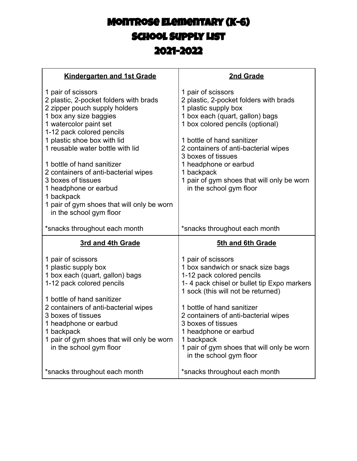## Montrose Elementary (K-6) School Supply List 2021-2022

| <b>Kindergarten and 1st Grade</b>                                                                                                                                                                                                                                                                                                                                                                                                                             | 2nd Grade                                                                                                                                                                                                                                                                                                                                                                            |
|---------------------------------------------------------------------------------------------------------------------------------------------------------------------------------------------------------------------------------------------------------------------------------------------------------------------------------------------------------------------------------------------------------------------------------------------------------------|--------------------------------------------------------------------------------------------------------------------------------------------------------------------------------------------------------------------------------------------------------------------------------------------------------------------------------------------------------------------------------------|
| 1 pair of scissors<br>2 plastic, 2-pocket folders with brads<br>2 zipper pouch supply holders<br>1 box any size baggies<br>1 watercolor paint set<br>1-12 pack colored pencils<br>1 plastic shoe box with lid<br>1 reusable water bottle with lid<br>1 bottle of hand sanitizer<br>2 containers of anti-bacterial wipes<br>3 boxes of tissues<br>1 headphone or earbud<br>1 backpack<br>1 pair of gym shoes that will only be worn<br>in the school gym floor | 1 pair of scissors<br>2 plastic, 2-pocket folders with brads<br>1 plastic supply box<br>1 box each (quart, gallon) bags<br>1 box colored pencils (optional)<br>1 bottle of hand sanitizer<br>2 containers of anti-bacterial wipes<br>3 boxes of tissues<br>1 headphone or earbud<br>1 backpack<br>1 pair of gym shoes that will only be worn<br>in the school gym floor              |
|                                                                                                                                                                                                                                                                                                                                                                                                                                                               |                                                                                                                                                                                                                                                                                                                                                                                      |
| *snacks throughout each month                                                                                                                                                                                                                                                                                                                                                                                                                                 | *snacks throughout each month                                                                                                                                                                                                                                                                                                                                                        |
| 3rd and 4th Grade                                                                                                                                                                                                                                                                                                                                                                                                                                             | 5th and 6th Grade                                                                                                                                                                                                                                                                                                                                                                    |
| 1 pair of scissors<br>1 plastic supply box<br>1 box each (quart, gallon) bags<br>1-12 pack colored pencils<br>1 bottle of hand sanitizer<br>2 containers of anti-bacterial wipes<br>3 boxes of tissues<br>1 headphone or earbud<br>1 backpack<br>1 pair of gym shoes that will only be worn<br>in the school gym floor                                                                                                                                        | 1 pair of scissors<br>1 box sandwich or snack size bags<br>1-12 pack colored pencils<br>1-4 pack chisel or bullet tip Expo markers<br>1 sock (this will not be returned)<br>1 bottle of hand sanitizer<br>2 containers of anti-bacterial wipes<br>3 boxes of tissues<br>1 headphone or earbud<br>1 backpack<br>1 pair of gym shoes that will only be worn<br>in the school gym floor |